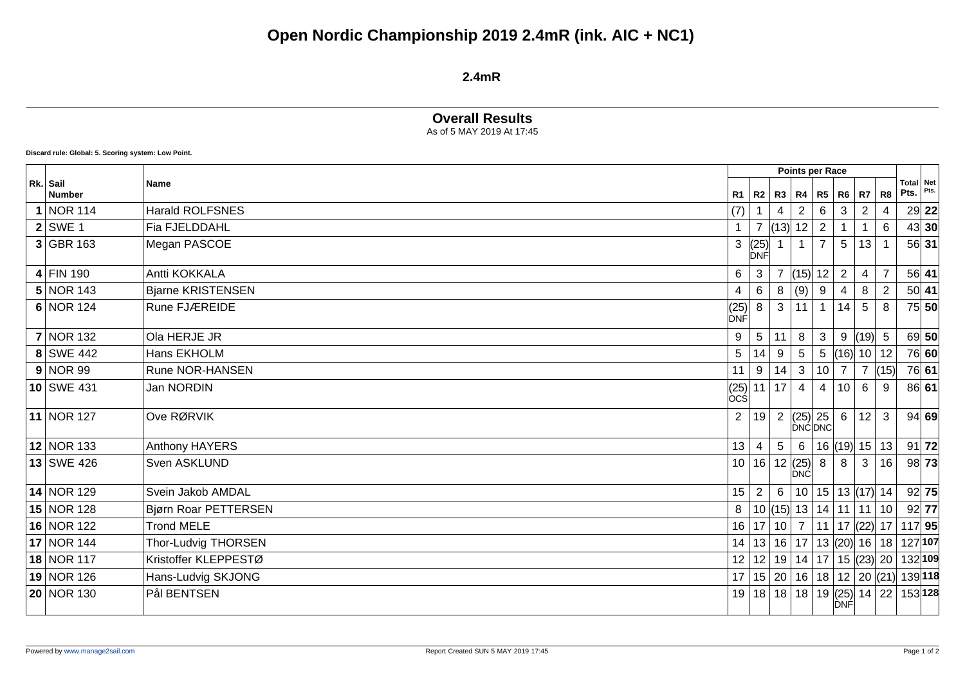# **Open Nordic Championship 2019 2.4mR (ink. AIC + NC1)**

#### **2.4mR**

## **Overall Results**

As of 5 MAY 2019 At 17:45

**Discard rule: Global: 5. Scoring system: Low Point.**

|  | Rk. Sail<br><b>Number</b> | <b>Name</b>              |                                                  |                                                       | Points per Race |                                           |              |                 |                                |                |                   |         |
|--|---------------------------|--------------------------|--------------------------------------------------|-------------------------------------------------------|-----------------|-------------------------------------------|--------------|-----------------|--------------------------------|----------------|-------------------|---------|
|  |                           |                          | R1                                               | R2                                                    |                 | R3   R4                                   | R5           | $R6$ R7         |                                | R <sub>8</sub> | Total Net<br>Pts. | Pts.    |
|  | NOR 114                   | <b>Harald ROLFSNES</b>   | (7)                                              |                                                       | 4               | $\overline{2}$                            | 6            | 3               | $\sqrt{2}$                     | $\overline{4}$ |                   | $29$ 22 |
|  | $2$ SWE 1                 | Fia FJELDDAHL            | $\mathbf{1}$                                     | $\overline{7}$                                        | (13)            | 12                                        | 2            |                 |                                | 6              |                   | 43 30   |
|  | $3$ GBR 163               | Megan PASCOE             | 3                                                | $\begin{bmatrix} (25) \\ \text{DNF} \end{bmatrix}$    |                 |                                           |              | 5               | 13                             |                |                   | 56 31   |
|  | $4$ FIN 190               | Antti KOKKALA            | 6                                                | 3                                                     |                 | (15)                                      | 12           | $\overline{2}$  | $\overline{4}$                 | $\overline{7}$ |                   | $56$ 41 |
|  | $5 NOR$ 143               | <b>Bjarne KRISTENSEN</b> | 4                                                | $6\phantom{1}6$                                       | 8               | (9)                                       | 9            | 4               | 8                              | $\overline{2}$ |                   | 50 41   |
|  | $6 NOR$ 124               | Rune FJÆREIDE            | $\begin{matrix} (25) \\ \text{DNF} \end{matrix}$ | 8                                                     | 3               | 11                                        | $\mathbf{1}$ | 14              | $5\phantom{.0}$                | 8              |                   | 75 50   |
|  | $7$ NOR 132               | Ola HERJE JR             | 9                                                | $\overline{5}$                                        | 11              | 8                                         | 3            |                 | $9$ (19) 5                     |                |                   | 69 50   |
|  | 8 SWE 442                 | Hans EKHOLM              | 5                                                | 14                                                    | 9               | 5                                         | 5            |                 | (16)  10   12                  |                |                   | 76 60   |
|  | 9 NOR99                   | Rune NOR-HANSEN          | 11                                               | 9                                                     | 14              | 3                                         | 10           | $\overline{7}$  | $\overline{7}$                 | (15)           |                   | 76 61   |
|  | $10$ SWE 431              | Jan NORDIN               |                                                  | $\begin{vmatrix} (25) \\ \text{OCS} \end{vmatrix}$ 11 | 17              | 4                                         | 4            | 10 <sup>°</sup> | 6                              | 9              |                   | 86 61   |
|  | 11 NOR 127                | Ove RØRVIK               | 2                                                | 19                                                    | $\overline{2}$  | $\left  (25) \right  25$<br><b>DNCDNC</b> |              |                 | $6 \mid 12$                    | 3              |                   | 94 69   |
|  | 12 NOR 133                | Anthony HAYERS           | 13                                               | $\overline{4}$                                        | $5\phantom{.0}$ | 6                                         |              |                 | $16$ (19) 15 13                |                |                   | 91   72 |
|  | 13 SWE 426                | Sven ASKLUND             |                                                  | 10 16                                                 |                 | 12  (25) <br><b>DNĆ</b>                   | 8            | 8               | 3                              | 16             |                   | 98 73   |
|  | $14$ NOR 129              | Svein Jakob AMDAL        | 15                                               | $\overline{2}$                                        | 6               | 10 <sup>1</sup>                           |              |                 | $15 \mid 13 \mid (17) \mid 14$ |                |                   | 92 75   |
|  | $15$ NOR 128              | Bjørn Roar PETTERSEN     | 8                                                | 10                                                    | (15)            |                                           | 13 14        |                 | 11 11                          | 10             |                   | $92$ 77 |
|  | 16 NOR 122                | <b>Trond MELE</b>        |                                                  | 16 17                                                 | 10 <sup>1</sup> | $\overline{7}$                            | 11           |                 | 17 $ (22) $ 17                 |                | $117$ 95          |         |
|  | 17 NOR 144                | Thor-Ludvig THORSEN      | 14                                               | 13                                                    | 16              | 17                                        |              |                 | 13  (20)  16   18              |                | 127 107           |         |
|  | 18 NOR 117                | Kristoffer KLEPPESTØ     | 12 <sub>2</sub>                                  | 12                                                    |                 |                                           |              |                 | 19   14   17   15   (23)   20  |                | 132 109           |         |
|  | 19 NOR 126                | Hans-Ludvig SKJONG       |                                                  | $17$   15   20                                        |                 | 16                                        |              |                 | $18$   12   20 $ (21) $        |                |                   | 139 118 |
|  | 20 NOR 130                | Pål BENTSEN              | 19                                               | 18                                                    | 18              | 18                                        |              | <b>DNF</b>      | 19 $(25)$ 14 22                |                |                   | 153 128 |